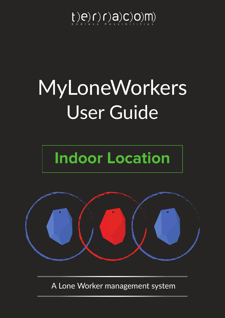## $[t(e) f] (q) Q (Q) m$

# User Guide MyLoneWorkers

# **Indoor Location**



A Lone Worker management system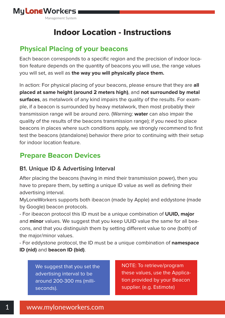

## Indoor Location - Instructions

## **Physical Placing of your beacons**

Each beacon corresponds to a specific region and the precision of indoor location feature depends on the quantity of beacons you will use, the range values you will set, as well as **the way you will physically place them.**

In action: For physical placing of your beacons, please ensure that they are **all placed at same height (around 2 meters high)**, and **not surrounded by metal surfaces**, as metalwork of any kind impairs the quality of the results. For example, if a beacon is surrounded by heavy metalwork, then most probably their transmission range will be around zero. (Warning: **water** can also impair the quality of the results of the beacons transmission range); if you need to place beacons in places where such conditions apply, we strongly recommend to first test the beacons (standalone) behavior there prior to continuing with their setup for indoor location feature.

## **Prepare Beacon Devices**

#### **B1. Unique ID & Advertising Interval**

After placing the beacons (having in mind their transmission power), then you have to prepare them, by setting a unique ID value as well as defining their advertising interval.

MyLoneWorkers supports both ibeacon (made by Apple) and eddystone (made by Google) beacon protocols.

- For ibeacon protocol this ID must be a unique combination of **UUID, major** and **minor** values. We suggest that you keep UUID value the same for all beacons, and that you distinguish them by setting different value to one (both) of the major/minor values.

- For eddystone protocol, the ID must be a unique combination of **namespace ID (nid)** and **beacon ID (bid)**.

We suggest that you set the advertising interval to be around 200-300 ms (milliseconds).

NOTE: To retrieve/program these values, use the Application provided by your Beacon supplier. (e.g. Estimote)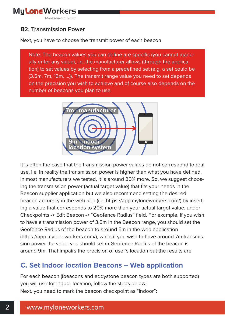

#### **B2. Transmission Power**

Next, you have to choose the transmit power of each beacon

Note: The beacon values you can define are specific (you cannot manually enter any value), i.e. the manufacturer allows (through the application) to set values by selecting from a predefined set (e.g. a set could be {3.5m, 7m, 15m, …}). The transmit range value you need to set depends on the precision you wish to achieve and of course also depends on the number of beacons you plan to use.



It is often the case that the transmission power values do not correspond to real use, i.e. in reality the transmission power is higher than what you have defined. In most manufacturers we tested, it is around 20% more. So, we suggest choosing the transmission power (actual target value) that fits your needs in the Beacon supplier application but we also recommend setting the desired beacon accuracy in the web app (i.e. https://app.myloneworkers.com/) by inserting a value that corresponds to 20% more than your actual target value, under Checkpoints -> Edit Beacon -> "Geofence Radius" field. For example, if you wish to have a transmission power of 3,5m in the Beacon range, you should set the Geofence Radius of the beacon to around 5m in the web application (https://app.myloneworkers.com/), while if you wish to have around 7m transmission power the value you should set in Geofence Radius of the beacon is around 9m. That impairs the precision of user's location but the results are

### **C. Set Indoor location Beacons – Web application**

For each beacon (ibeacons and eddystone beacon types are both supported) you will use for indoor location, follow the steps below: Next, you need to mark the beacon checkpoint as "indoor":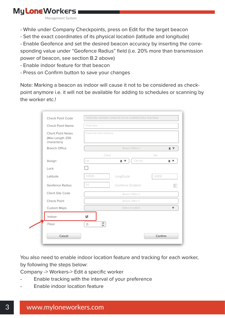Management System

- While under Company Checkpoints, press on Edit for the target beacon
- Set the exact coordinates of its physical location (latitude and longitude)

- Enable Geofence and set the desired beacon accuracy by inserting the corresponding value under "Geofence Radius" field (i.e. 20% more than transmission power of beacon, see section B.2 above)

- Enable indoor feature for that beacon
- Press on Confirm button to save your changes

Note: Marking a beacon as indoor will cause it not to be considered as checkpoint anymore i.e. it will not be available for adding to schedules or scanning by the worker etc.!

| <b>Check Point Name</b>                                     | Front door               |                  |        |            |  |  |
|-------------------------------------------------------------|--------------------------|------------------|--------|------------|--|--|
| <b>Client Point Notes</b><br>(Max Length 256<br>characters) | Check the front entrance |                  |        |            |  |  |
| <b>Branch Office</b>                                        |                          | Branch Office 1  |        | $X \nabla$ |  |  |
|                                                             | Client                   |                  | Site   |            |  |  |
| Assign                                                      | <b>CRI</b>               | $X \nabla$       | CRI HQ | $X \nabla$ |  |  |
| Lock                                                        |                          |                  |        |            |  |  |
| Latitude                                                    | 10000                    | Longtitude       | 10000  |            |  |  |
| Geofence Radius                                             | 31                       | Geofence Enabled |        |            |  |  |
| Client Site Code                                            | Branch Office 1          |                  |        |            |  |  |
| <b>Check Point</b>                                          | Branch Office 1          |                  |        |            |  |  |
| <b>Custom Maps</b>                                          | Select an option         |                  |        |            |  |  |
| Indoor                                                      | $\blacktriangledown$     |                  |        |            |  |  |
| Floor                                                       | $\Rightarrow$<br>$\circ$ |                  |        |            |  |  |
| Cancel                                                      |                          |                  |        | Confirm    |  |  |

You also need to enable indoor location feature and tracking for each worker, by following the steps below:

Company -> Workers-> Edit a specific worker

- Enable tracking with the interval of your preference
- Enable indoor location feature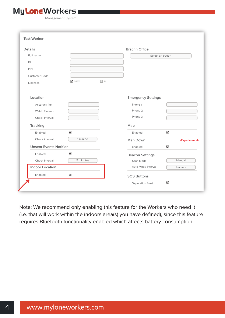Management System

| <b>Details</b>                |                      |            |                           | <b>Bracnh Office</b> |  |  |
|-------------------------------|----------------------|------------|---------------------------|----------------------|--|--|
| Full name                     |                      |            | Select an option          |                      |  |  |
| ID                            |                      |            |                           |                      |  |  |
| PIN                           |                      |            |                           |                      |  |  |
| Customer Code                 |                      |            |                           |                      |  |  |
| Licenses                      | V MLW                | $\Box$ Ptt |                           |                      |  |  |
| Location                      |                      |            | <b>Emergency Settings</b> |                      |  |  |
| Accuracy (m)                  |                      |            | Phone 1                   |                      |  |  |
| <b>Watch Timeout</b>          |                      |            | Phone 2                   |                      |  |  |
| Check Interval                |                      |            | Phone 3                   |                      |  |  |
| <b>Tracking</b>               |                      |            | Map                       |                      |  |  |
| Enabled                       | $\blacktriangledown$ |            | Enabled                   | $\blacktriangledown$ |  |  |
| Check interval                | 1 minute             |            | <b>Man Down</b>           | (Experimental)       |  |  |
| <b>Unsent Events Notifier</b> |                      | Enabled    | $\blacktriangledown$      |                      |  |  |
| Enabled                       | $\blacktriangledown$ |            | <b>Beacon Settings</b>    |                      |  |  |
| Check Interval                | 5 minutes            |            | Scan Mode                 | Manual               |  |  |
| <b>Indoor Location</b>        |                      |            | Auto Mode Interval        | 1 minute             |  |  |
| Enabled                       | $\blacktriangledown$ |            | <b>SOS Buttons</b>        |                      |  |  |

Note: We recommend only enabling this feature for the Workers who need it (i.e. that will work within the indoors area(s) you have defined), since this feature requires Bluetooth functionality enabled which affects battery consumption.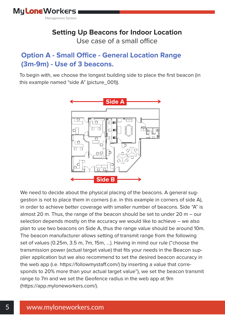### **Setting Up Beacons for Indoor Location** Use case of a small office

## **Option A - Small Office - General Location Range (3m-9m) - Use of 3 beacons.**

To begin with, we choose the longest building side to place the first beacon (in this example named "side A" (picture\_001)).



We need to decide about the physical placing of the beacons. A general suggestion is not to place them in corners (i.e. in this example in corners of side A), in order to achieve better coverage with smaller number of beacons. Side "A" is almost 20 m. Thus, the range of the beacon should be set to under 20 m – our selection depends mostly on the accuracy we would like to achieve – we also plan to use two beacons on Side A, thus the range value should be around 10m. The beacon manufacturer allows setting of transmit range from the following set of values {0.25m, 3.5 m, 7m, 15m, …}. Having in mind our rule ("choose the transmission power (actual target value) that fits your needs in the Beacon supplier application but we also recommend to set the desired beacon accuracy in the web app (i.e. https://followmystaff.com/) by inserting a value that corresponds to 20% more than your actual target value"), we set the beacon transmit range to 7m and we set the Geofence radius in the web app at 9m (https://app.myloneworkers.com/).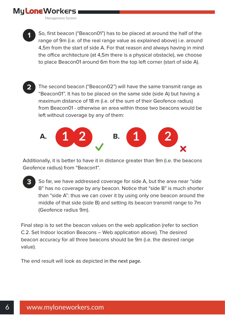Management System



So, first beacon ("Beacon01") has to be placed at around the half of the range of 9m (i.e. of the real range value as explained above) i.e. around 4,5m from the start of side A. For that reason and always having in mind the office architecture (at 4,5m there is a physical obstacle), we choose to place Beacon01 around 6m from the top left corner (start of side A).

The second beacon ("Beacon02") will have the same transmit range as "Beacon01". It has to be placed on the same side (side A) but having a maximum distance of 18 m (i.e. of the sum of their Geofence radius) from Beacon01 - otherwise an area within those two beacons would be left without coverage by any of them: **2**



Additionally, it is better to have it in distance greater than 9m (i.e. the beacons Geofence radius) from "Beacon1".

So far, we have addressed coverage for side A, but the area near "side B" has no coverage by any beacon. Notice that "side B" is much shorter than "side A": thus we can cover it by using only one beacon around the middle of that side (side B) and setting its beacon transmit range to 7m (Geofence radius 9m). **3**

Final step is to set the beacon values on the web application (refer to section C.2. Set Indoor location Beacons – Web application above). The desired beacon accuracy for all three beacons should be 9m (i.e. the desired range value).

The end result will look as depicted in the next page.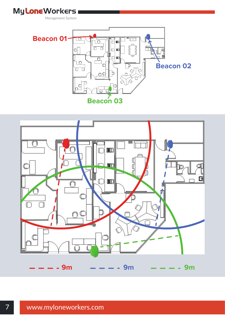



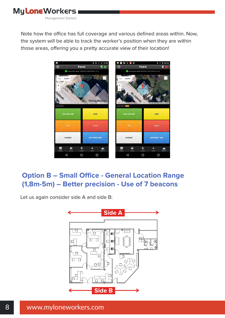

Note how the office has full coverage and various defined areas within. Now, the system will be able to track the worker's position when they are within those areas, offering you a pretty accurate view of their location!



## **Option B - Small Office - General Location Range (1,8m-5m) – Better precision - Use of 7 beacons**

Let us again consider side A and side B:

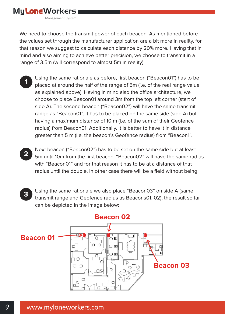We need to choose the transmit power of each beacon: As mentioned before the values set through the manufacturer application are a bit more in reality, for that reason we suggest to calculate each distance by 20% more. Having that in mind and also aiming to achieve better precision, we choose to transmit in a range of 3.5m (will correspond to almost 5m in reality).

- Using the same rationale as before, first beacon ("Beacon01") has to be placed at around the half of the range of 5m (i.e. of the real range value as explained above). Having in mind also the office architecture, we choose to place Beacon01 around 3m from the top left corner (start of side A). The second beacon ("Beacon02") will have the same transmit range as "Beacon01". It has to be placed on the same side (side A) but having a maximum distance of 10 m (i.e. of the sum of their Geofence radius) from Beacon01. Additionally, it is better to have it in distance greater than 5 m (i.e. the beacon's Geofence radius) from "Beacon1". **1**
- Next beacon ("Beacon02") has to be set on the same side but at least 5m until 10m from the first beacon. "Beacon02" will have the same radius with "Beacon01" and for that reason it has to be at a distance of that radius until the double. In other case there will be a field without being **2**
- Using the same rationale we also place "Beacon03" on side A (same transmit range and Geofence radius as Beacons01, 02); the result so far can be depicted in the image below: **3**

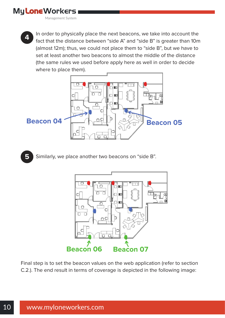Management System



In order to physically place the next beacons, we take into account the fact that the distance between "side A" and "side B" is greater than 10m (almost 12m); thus, we could not place them to "side B", but we have to set at least another two beacons to almost the middle of the distance (the same rules we used before apply here as well in order to decide where to place them).



Similarly, we place another two beacons on "side B". **5**



Final step is to set the beacon values on the web application (refer to section C.2.). The end result in terms of coverage is depicted in the following image: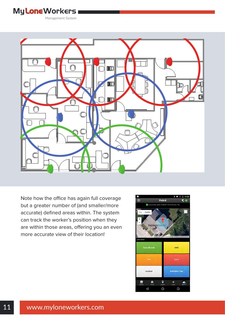Management System



Note how the office has again full coverage but a greater number of (and smaller/more accurate) defined areas within. The system can track the worker's position when they are within those areas, offering you an even more accurate view of their location!